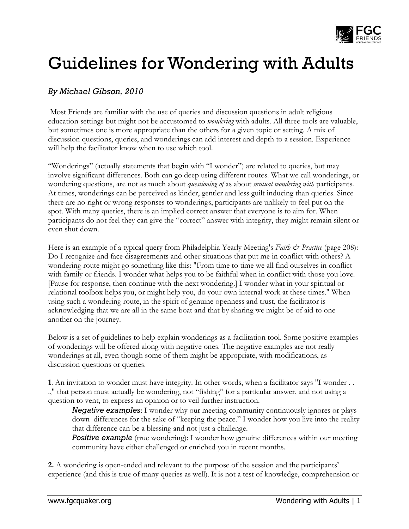

## Guidelines for Wondering with Adults

## *By Michael Gibson, 2010*

Most Friends are familiar with the use of queries and discussion questions in adult religious education settings but might not be accustomed to *wondering* with adults. All three tools are valuable, but sometimes one is more appropriate than the others for a given topic or setting. A mix of discussion questions, queries, and wonderings can add interest and depth to a session. Experience will help the facilitator know when to use which tool.

"Wonderings" (actually statements that begin with "I wonder") are related to queries, but may involve significant differences. Both can go deep using different routes. What we call wonderings, or wondering questions, are not as much about *questioning of* as about *mutual wondering with* participants. At times, wonderings can be perceived as kinder, gentler and less guilt inducing than queries. Since there are no right or wrong responses to wonderings, participants are unlikely to feel put on the spot. With many queries, there is an implied correct answer that everyone is to aim for. When participants do not feel they can give the "correct" answer with integrity, they might remain silent or even shut down.

Here is an example of a typical query from Philadelphia Yearly Meeting's *Faith & Practice* (page 208): Do I recognize and face disagreements and other situations that put me in conflict with others? A wondering route might go something like this: "From time to time we all find ourselves in conflict with family or friends. I wonder what helps you to be faithful when in conflict with those you love. [Pause for response, then continue with the next wondering.] I wonder what in your spiritual or relational toolbox helps you, or might help you, do your own internal work at these times." When using such a wondering route, in the spirit of genuine openness and trust, the facilitator is acknowledging that we are all in the same boat and that by sharing we might be of aid to one another on the journey.

Below is a set of guidelines to help explain wonderings as a facilitation tool. Some positive examples of wonderings will be offered along with negative ones. The negative examples are not really wonderings at all, even though some of them might be appropriate, with modifications, as discussion questions or queries.

**1**. An invitation to wonder must have integrity. In other words, when a facilitator says "I wonder . . .," that person must actually be wondering, not "fishing" for a particular answer, and not using a question to vent, to express an opinion or to veil further instruction.

*Negative examples*: I wonder why our meeting community continuously ignores or plays down differences for the sake of "keeping the peace." I wonder how you live into the reality that difference can be a blessing and not just a challenge.

*Positive example* (true wondering): I wonder how genuine differences within our meeting community have either challenged or enriched you in recent months.

**2.** A wondering is open-ended and relevant to the purpose of the session and the participants' experience (and this is true of many queries as well). It is not a test of knowledge, comprehension or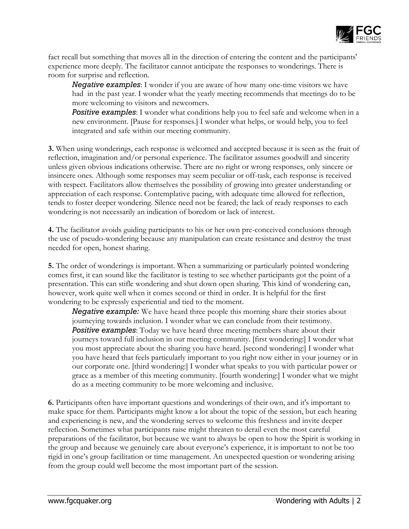

fact recall but something that moves all in the direction of entering the content and the participants' experience more deeply. The facilitator cannot anticipate the responses to wonderings. There is room for surprise and reflection.

*Negative examples*: I wonder if you are aware of how many one-time visitors we have had in the past year. I wonder what the yearly meeting recommends that meetings do to be more welcoming to visitors and newcomers.

**Positive examples**: I wonder what conditions help you to feel safe and welcome when in a new environment. [Pause for responses.] I wonder what helps, or would help, you to feel integrated and safe within our meeting community.

**3.** When using wonderings, each response is welcomed and accepted because it is seen as the fruit of reflection, imagination and/or personal experience. The facilitator assumes goodwill and sincerity unless given obvious indications otherwise. There are no right or wrong responses, only sincere or insincere ones. Although some responses may seem peculiar or off-task, each response is received with respect. Facilitators allow themselves the possibility of growing into greater understanding or appreciation of each response. Contemplative pacing, with adequate time allowed for reflection, tends to foster deeper wondering. Silence need not be feared; the lack of ready responses to each wondering is not necessarily an indication of boredom or lack of interest.

**4.** The facilitator avoids guiding participants to his or her own pre-conceived conclusions through the use of pseudo-wondering because any manipulation can create resistance and destroy the trust needed for open, honest sharing.

**5.** The order of wonderings is important. When a summarizing or particularly pointed wondering comes first, it can sound like the facilitator is testing to see whether participants got the point of a presentation. This can stifle wondering and shut down open sharing. This kind of wondering can, however, work quite well when it comes second or third in order. It is helpful for the first wondering to be expressly experiential and tied to the moment.

*Negative example:* We have heard three people this morning share their stories about journeying towards inclusion. I wonder what we can conclude from their testimony. *Positive examples*: Today we have heard three meeting members share about their journeys toward full inclusion in our meeting community. [first wondering:] I wonder what you most appreciate about the sharing you have heard. [second wondering:] I wonder what you have heard that feels particularly important to you right now either in your journey or in our corporate one. [third wondering:] I wonder what speaks to you with particular power or grace as a member of this meeting community. [fourth wondering:] I wonder what we might do as a meeting community to be more welcoming and inclusive.

**6.** Participants often have important questions and wonderings of their own, and it's important to make space for them. Participants might know a lot about the topic of the session, but each hearing and experiencing is new, and the wondering serves to welcome this freshness and invite deeper reflection. Sometimes what participants raise might threaten to derail even the most careful preparations of the facilitator, but because we want to always be open to how the Spirit is working in the group and because we genuinely care about everyone's experience, it is important to not be too rigid in one's group facilitation or time management. An unexpected question or wondering arising from the group could well become the most important part of the session.